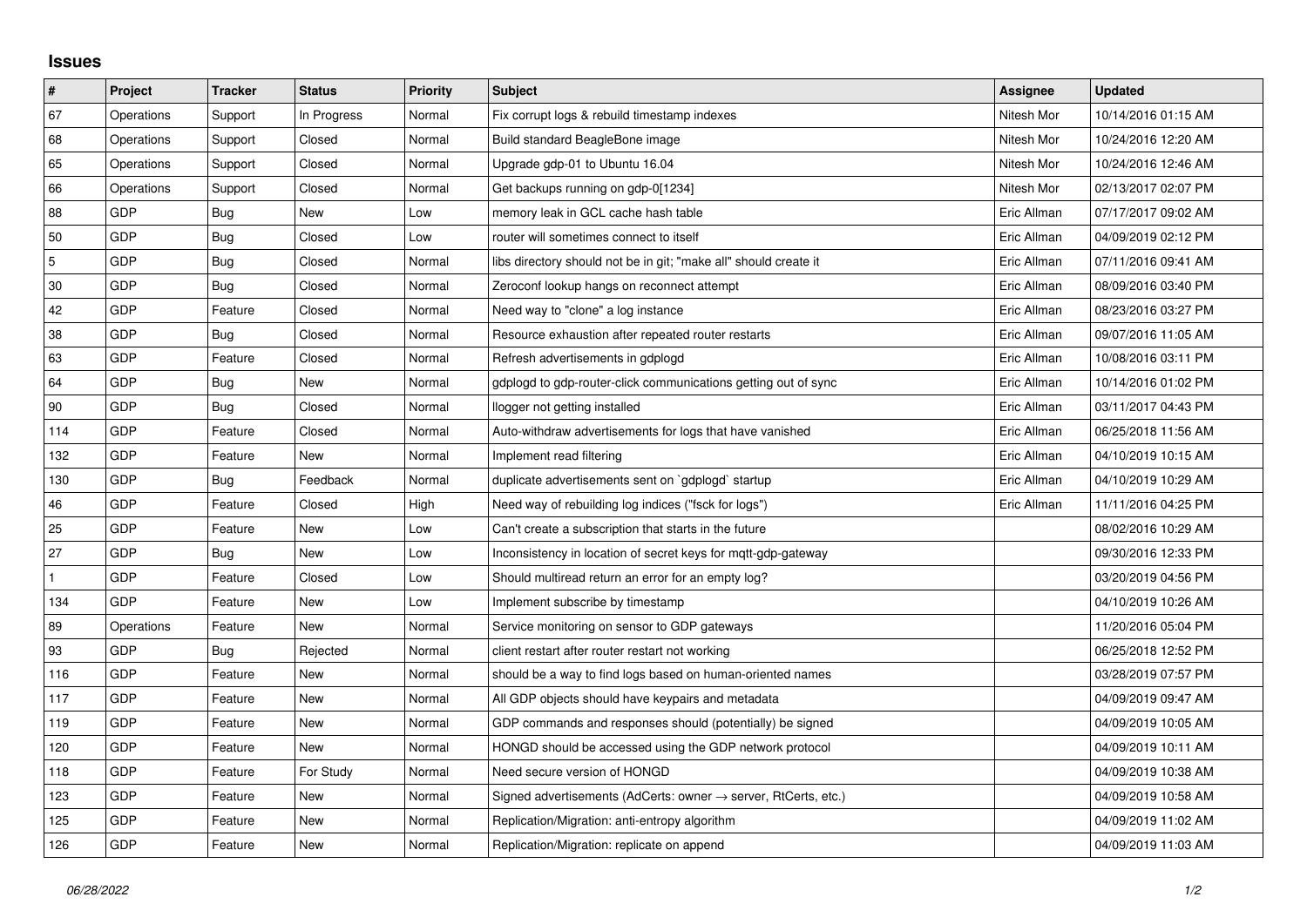## **Issues**

| $\vert$ #      | Project    | <b>Tracker</b> | <b>Status</b> | <b>Priority</b> | <b>Subject</b>                                                   | Assignee    | <b>Updated</b>      |
|----------------|------------|----------------|---------------|-----------------|------------------------------------------------------------------|-------------|---------------------|
| 67             | Operations | Support        | In Progress   | Normal          | Fix corrupt logs & rebuild timestamp indexes                     | Nitesh Mor  | 10/14/2016 01:15 AM |
| 68             | Operations | Support        | Closed        | Normal          | Build standard BeagleBone image                                  | Nitesh Mor  | 10/24/2016 12:20 AM |
| 65             | Operations | Support        | Closed        | Normal          | Upgrade gdp-01 to Ubuntu 16.04                                   | Nitesh Mor  | 10/24/2016 12:46 AM |
| 66             | Operations | Support        | Closed        | Normal          | Get backups running on gdp-0[1234]                               | Nitesh Mor  | 02/13/2017 02:07 PM |
| 88             | GDP        | Bug            | New           | Low             | memory leak in GCL cache hash table                              | Eric Allman | 07/17/2017 09:02 AM |
| 50             | <b>GDP</b> | Bug            | Closed        | Low             | router will sometimes connect to itself                          | Eric Allman | 04/09/2019 02:12 PM |
| $\overline{5}$ | <b>GDP</b> | Bug            | Closed        | Normal          | libs directory should not be in git; "make all" should create it | Eric Allman | 07/11/2016 09:41 AM |
| 30             | <b>GDP</b> | Bug            | Closed        | Normal          | Zeroconf lookup hangs on reconnect attempt                       | Eric Allman | 08/09/2016 03:40 PM |
| 42             | <b>GDP</b> | Feature        | Closed        | Normal          | Need way to "clone" a log instance                               | Eric Allman | 08/23/2016 03:27 PM |
| 38             | <b>GDP</b> | Bug            | Closed        | Normal          | Resource exhaustion after repeated router restarts               | Eric Allman | 09/07/2016 11:05 AM |
| 63             | GDP        | Feature        | Closed        | Normal          | Refresh advertisements in gdplogd                                | Eric Allman | 10/08/2016 03:11 PM |
| 64             | <b>GDP</b> | Bug            | New           | Normal          | gdplogd to gdp-router-click communications getting out of sync   | Eric Allman | 10/14/2016 01:02 PM |
| 90             | <b>GDP</b> | Bug            | Closed        | Normal          | llogger not getting installed                                    | Eric Allman | 03/11/2017 04:43 PM |
| 114            | <b>GDP</b> | Feature        | Closed        | Normal          | Auto-withdraw advertisements for logs that have vanished         | Eric Allman | 06/25/2018 11:56 AM |
| 132            | <b>GDP</b> | Feature        | New           | Normal          | Implement read filtering                                         | Eric Allman | 04/10/2019 10:15 AM |
| 130            | <b>GDP</b> | Bug            | Feedback      | Normal          | duplicate advertisements sent on `gdplogd` startup               | Eric Allman | 04/10/2019 10:29 AM |
| 46             | <b>GDP</b> | Feature        | Closed        | High            | Need way of rebuilding log indices ("fsck for logs")             | Eric Allman | 11/11/2016 04:25 PM |
| 25             | <b>GDP</b> | Feature        | New           | Low             | Can't create a subscription that starts in the future            |             | 08/02/2016 10:29 AM |
| 27             | <b>GDP</b> | <b>Bug</b>     | New           | Low             | Inconsistency in location of secret keys for mgtt-gdp-gateway    |             | 09/30/2016 12:33 PM |
| $\mathbf{1}$   | <b>GDP</b> | Feature        | Closed        | Low             | Should multiread return an error for an empty log?               |             | 03/20/2019 04:56 PM |
| 134            | <b>GDP</b> | Feature        | New           | Low             | Implement subscribe by timestamp                                 |             | 04/10/2019 10:26 AM |
| 89             | Operations | Feature        | <b>New</b>    | Normal          | Service monitoring on sensor to GDP gateways                     |             | 11/20/2016 05:04 PM |
| 93             | <b>GDP</b> | <b>Bug</b>     | Rejected      | Normal          | client restart after router restart not working                  |             | 06/25/2018 12:52 PM |
| 116            | <b>GDP</b> | Feature        | New           | Normal          | should be a way to find logs based on human-oriented names       |             | 03/28/2019 07:57 PM |
| 117            | <b>GDP</b> | Feature        | <b>New</b>    | Normal          | All GDP objects should have keypairs and metadata                |             | 04/09/2019 09:47 AM |
| 119            | <b>GDP</b> | Feature        | <b>New</b>    | Normal          | GDP commands and responses should (potentially) be signed        |             | 04/09/2019 10:05 AM |
| 120            | <b>GDP</b> | Feature        | New           | Normal          | HONGD should be accessed using the GDP network protocol          |             | 04/09/2019 10:11 AM |
| 118            | <b>GDP</b> | Feature        | For Study     | Normal          | Need secure version of HONGD                                     |             | 04/09/2019 10:38 AM |
| 123            | GDP        | Feature        | New           | Normal          | Signed advertisements (AdCerts: owner → server, RtCerts, etc.)   |             | 04/09/2019 10:58 AM |
| 125            | <b>GDP</b> | Feature        | New           | Normal          | Replication/Migration: anti-entropy algorithm                    |             | 04/09/2019 11:02 AM |
| 126            | GDP        | Feature        | New           | Normal          | Replication/Migration: replicate on append                       |             | 04/09/2019 11:03 AM |